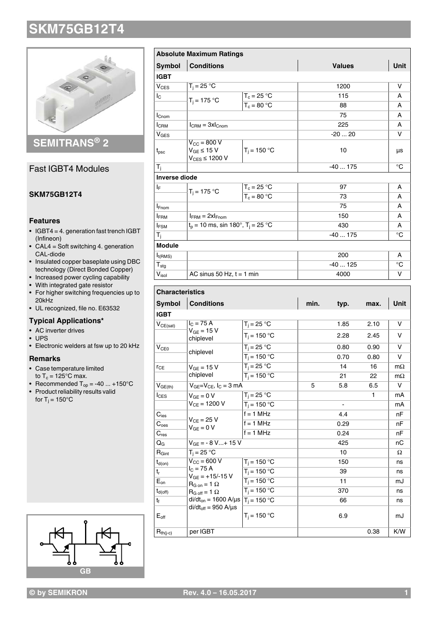

**SEMITRANS® 2**

### Fast IGBT4 Modules

### **SKM75GB12T4**

#### **Features**

- IGBT4 = 4. generation fast trench IGBT (Infineon)
- CAL4 = Soft switching 4. generation CAL-diode
- Insulated copper baseplate using DBC technology (Direct Bonded Copper)
- Increased power cycling capability
- With integrated gate resistor
- For higher switching frequencies up to 20kHz
- UL recognized, file no. E63532

### **Typical Applications\***

- AC inverter drives
- UPS
- Electronic welders at fsw up to 20 kHz

#### **Remarks**

- Case temperature limited
- to  $T_c = 125^{\circ}$ C max.
- Recommended  $T_{op} = -40 ... +150$ °C
- Product reliability results valid for T $_{\rm j}$  = 150°C



|                            | <b>Absolute Maximum Ratings</b>                                        |                |          |               |             |           |
|----------------------------|------------------------------------------------------------------------|----------------|----------|---------------|-------------|-----------|
| <b>Symbol</b>              | <b>Conditions</b>                                                      |                |          | <b>Values</b> |             |           |
| <b>IGBT</b>                |                                                                        |                |          |               |             |           |
| $V_{CES}$                  | $T_i = 25 °C$                                                          |                |          | 1200          |             | v         |
| Ic                         | $T_i = 175 °C$                                                         | $T_c = 25 °C$  |          | 115           |             | А         |
|                            |                                                                        | $T_c = 80 °C$  |          | 88            |             |           |
| $I_{\text{Cnom}}$          |                                                                        |                |          | 75            |             | A         |
| $I_{\rm CRM}$              | $I_{\text{CRM}} = 3xI_{\text{Chom}}$                                   |                |          | 225           |             |           |
| V <sub>GES</sub>           |                                                                        |                |          | $-2020$       |             | v         |
| $t_{\rm psc}$              | $V_{\text{CC}}$ = 800 V<br>$V_{GE} \leq 15 V$<br>$V_{CES} \leq 1200 V$ | $T_i = 150 °C$ |          | μs            |             |           |
| $\mathsf{T}_{\mathsf{i}}$  |                                                                        |                |          | $-40175$      |             | °C        |
| <b>Inverse diode</b>       |                                                                        |                |          |               |             |           |
| ΙF                         | $T_i = 175 °C$                                                         | $T_c = 25 °C$  |          | 97            |             |           |
|                            |                                                                        | $T_c = 80 °C$  |          | 73            |             |           |
| <b>I</b> Fnom              |                                                                        |                |          | 75            |             | A         |
| <b>IFRM</b>                | $I_{FRM} = 2xI_{Fnom}$                                                 |                |          | 150           |             |           |
| <b>IFSM</b>                | $t_p = 10$ ms, sin 180°, $T_i = 25$ °C                                 |                |          | 430           |             |           |
| T <sub>i</sub>             |                                                                        |                |          | $-40175$      |             |           |
| <b>Module</b>              |                                                                        |                |          |               |             |           |
| $I_{t(RMS)}$               |                                                                        |                |          | 200           |             |           |
| ${\mathsf T}_{\text{stg}}$ |                                                                        |                | $-40125$ |               | $^{\circ}C$ |           |
| $V_{\rm isol}$             | AC sinus 50 Hz, $t = 1$ min                                            |                |          | 4000          |             |           |
| <b>Characteristics</b>     |                                                                        |                |          |               |             |           |
| <b>Symbol</b>              | <b>Conditions</b>                                                      |                | min.     | typ.          | max.        | Unit      |
| <b>IGBT</b>                |                                                                        |                |          |               |             |           |
| $V_{CE(sat)}$              | $I_{C}$ = 75 A                                                         | $T_i = 25 °C$  |          | 1.85          | 2.10        | v         |
|                            | $V_{GE}$ = 15 V<br>chiplevel                                           | $T_i = 150 °C$ |          | 2.28          | 2.45        | v         |
| V <sub>CE0</sub>           | chiplevel                                                              | $T_i = 25 °C$  |          | 0.80          | 0.90        | v         |
|                            |                                                                        | $T_i = 150 °C$ |          | 0.70          | 0.80        | v         |
| $r_{CE}$                   | $V_{GE}$ = 15 V                                                        | $T_i = 25 °C$  |          | 14            | 16          | $m\Omega$ |
|                            |                                                                        |                |          |               |             |           |

| <b>Symbol</b>                                          | <b>Conditions</b>                                                                                                                    |                           | min. | typ. | max. | Unit      |
|--------------------------------------------------------|--------------------------------------------------------------------------------------------------------------------------------------|---------------------------|------|------|------|-----------|
| <b>IGBT</b>                                            |                                                                                                                                      |                           |      |      |      |           |
| $V_{CE(sat)}$                                          | $IC = 75 A$<br>$V_{GE}$ = 15 V<br>chiplevel                                                                                          | $T_i = 25 °C$             |      | 1.85 | 2.10 | v         |
|                                                        |                                                                                                                                      | $T_i = 150 °C$            |      | 2.28 | 2.45 | v         |
| V <sub>CE0</sub><br>chiplevel                          |                                                                                                                                      | $T_i = 25 \overline{°C}$  |      | 0.80 | 0.90 | $\vee$    |
|                                                        |                                                                                                                                      | $T_i = 150 °C$            |      | 0.70 | 0.80 | v         |
| $V_{GF} = 15 V$<br><b>r</b> <sub>CE</sub><br>chiplevel |                                                                                                                                      | $T_i = 25 °C$             |      | 14   | 16   | $m\Omega$ |
|                                                        |                                                                                                                                      | $\overline{T_i}$ = 150 °C |      | 21   | 22   | $m\Omega$ |
| $V_{GE(th)}$                                           | $V_{GE}=V_{CE}$ , $I_C=3$ mA                                                                                                         |                           | 5    | 5.8  | 6.5  | v         |
| $I_{CES}$                                              | $V_{GF} = 0 V$<br>$V_{CE} = 1200 V$                                                                                                  | $T_i = 25 °C$             |      |      | 1    | mA        |
|                                                        |                                                                                                                                      | $T_i = 150 °C$            |      |      |      | mA        |
| $C_{\text{ies}}$                                       | $V_{CF}$ = 25 V<br>$V_{GF} = 0 V$                                                                                                    | $f = 1$ MHz               |      | 4.4  |      | nF        |
| $C_{\text{oes}}$                                       |                                                                                                                                      | $f = 1$ MHz               |      | 0.29 |      | nF        |
| $C_{res}$                                              |                                                                                                                                      | $\overline{f}$ = 1 MHz    |      | 0.24 |      | nF        |
| QG                                                     | $V_{GE}$ = - 8 V + 15 V                                                                                                              |                           |      | 425  |      | nC        |
| $R_{Gint}$                                             | $T_i = 25 °C$                                                                                                                        |                           |      | 10   |      | Ω         |
| $t_{d(on)}$                                            | $V_{\text{CC}}$ = 600 V<br>$I_{C}$ = 75 A<br>$V_{GF}$ = +15/-15 V<br>$R_{G \text{ on}} = 1 \Omega$<br>$R_{G \text{ off}} = 1 \Omega$ | $T_i = 150 °C$            |      | 150  |      | ns        |
| $t_{r}$                                                |                                                                                                                                      | $T_i = 150 °C$            |      | 39   |      | ns        |
| $\mathsf{E}_{\mathsf{on}}$                             |                                                                                                                                      | $T_i = 150 °C$            |      | 11   |      | mJ        |
| $t_{d(off)}$                                           |                                                                                                                                      | $T_i = 150 °C$            |      | 370  |      | ns        |
| $t_{f}$                                                | di/dt <sub>on</sub> = 1600 A/µs $T_i$ = 150 °C                                                                                       |                           |      | 66   |      | ns        |
| $E_{\text{off}}$                                       | $di/dt_{off} = 950$ A/ $\mu$ s                                                                                                       | $T_i = 150 °C$            |      | 6.9  |      | mJ        |
| $R_{th(j-c)}$                                          | per IGBT                                                                                                                             |                           |      |      | 0.38 | K/W       |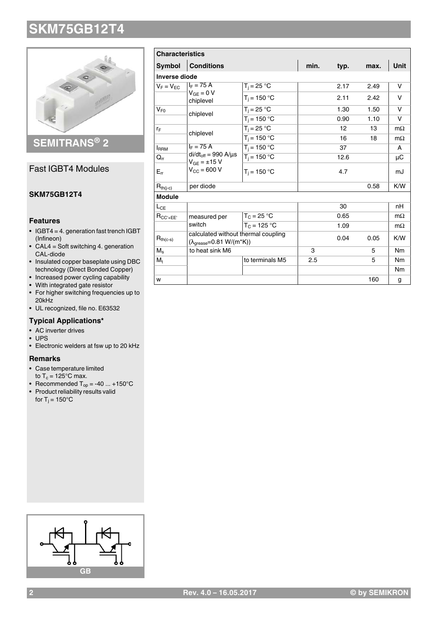

# **SEMITRANS® 2**

### Fast IGBT4 Modules

### **SKM75GB12T4**

#### **Features**

- IGBT4 = 4. generation fast trench IGBT (Infineon)
- CAL4 = Soft switching 4. generation CAL-diode
- Insulated copper baseplate using DBC technology (Direct Bonded Copper)
- Increased power cycling capability
- With integrated gate resistor
- For higher switching frequencies up to 20kHz
- UL recognized, file no. E63532

### **Typical Applications\***

- AC inverter drives
- UPS
- Electronic welders at fsw up to 20 kHz

#### **Remarks**

- Case temperature limited
- to  $T_c = 125^{\circ}$ C max.
- Recommended  $T_{op} = -40 ... +150$ °C
- Product reliability results valid for T $_{\rm j}$  = 150°C

| <b>Characteristics</b> |                                                                                           |                 |      |      |      |                |
|------------------------|-------------------------------------------------------------------------------------------|-----------------|------|------|------|----------------|
| <b>Symbol</b>          | <b>Conditions</b>                                                                         |                 | min. | typ. | max. | <b>Unit</b>    |
| <b>Inverse diode</b>   |                                                                                           |                 |      |      |      |                |
| $V_F = V_{FC}$         | $I_F = 75 A$                                                                              | $T_i = 25 °C$   |      | 2.17 | 2.49 | v              |
|                        | $V_{GF} = 0 V$<br>chiplevel                                                               | $T_i = 150 °C$  |      | 2.11 | 2.42 | $\vee$         |
| $V_{F0}$               | chiplevel                                                                                 | $T_i = 25 °C$   |      | 1.30 | 1.50 | v              |
|                        |                                                                                           | $T_j = 150 °C$  |      | 0.90 | 1.10 | v              |
| ľF                     | chiplevel                                                                                 | $T_i = 25 °C$   |      | 12   | 13   | $m\Omega$      |
|                        |                                                                                           | $T_i = 150 °C$  |      | 16   | 18   | $m\Omega$      |
| <b>IRRM</b>            | $I_F = 75 A$<br>$di/dt_{off} = 990 A/\mu s$<br>$V_{GE} = \pm 15 V$<br>$V_{CC} = 600 V$    | $T_i = 150 °C$  |      | 37   |      | A              |
| $Q_{rr}$               |                                                                                           | $T_i = 150 °C$  |      | 12.6 |      | μC             |
| $E_{rr}$               |                                                                                           | $T_i = 150 °C$  |      | 4.7  |      | mJ             |
| $R_{th(j-c)}$          | per diode                                                                                 |                 |      |      | 0.58 | K/W            |
| <b>Module</b>          |                                                                                           |                 |      |      |      |                |
| $L_{CE}$               |                                                                                           |                 |      | 30   |      | nH             |
| $R_{CC' + EE'}$        | measured per<br>switch                                                                    | $T_C = 25 °C$   |      | 0.65 |      | $m\Omega$      |
|                        |                                                                                           | $T_c = 125 °C$  |      | 1.09 |      | $m\Omega$      |
| $R_{th(c-s)}$          | calculated without thermal coupling<br>$(\lambda_{\text{grease}} = 0.81 \text{ W/(m*K)})$ |                 |      | 0.04 | 0.05 | K/W            |
| $M_{\rm s}$            | to heat sink M6                                                                           |                 | 3    |      | 5    | <b>Nm</b>      |
| $M_{t}$                |                                                                                           | to terminals M5 | 2.5  |      | 5    | <b>Nm</b>      |
|                        |                                                                                           |                 |      |      |      | N <sub>m</sub> |
| W                      |                                                                                           |                 |      |      | 160  | g              |

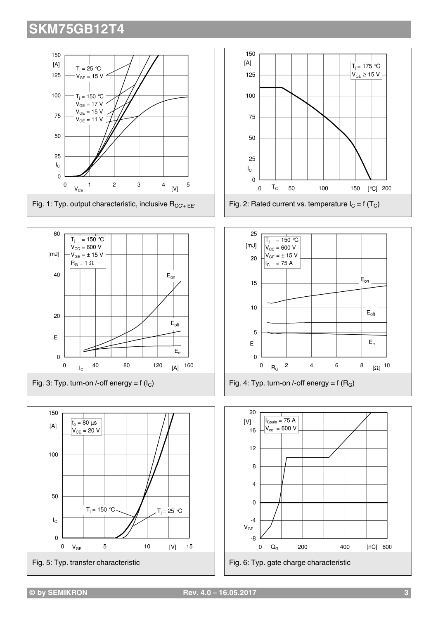









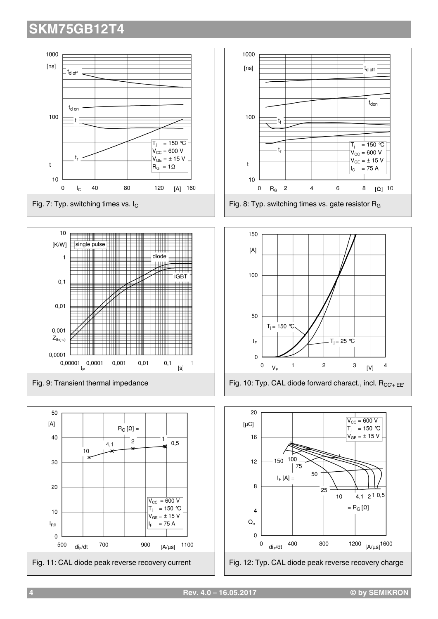

**4 Rev. 4.0 – 16.05.2017 © by SEMIKRON**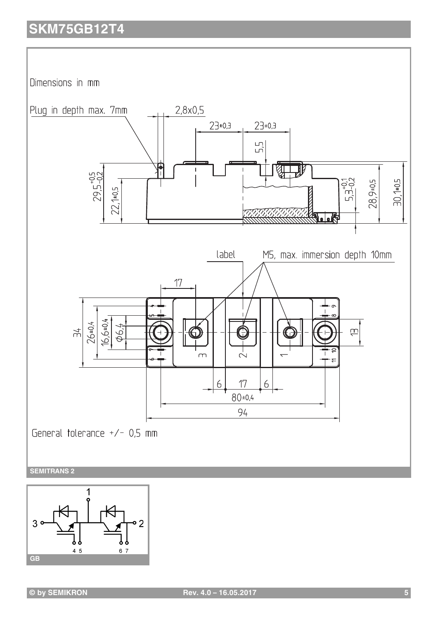Dimensions in mm





**© by SEMIKRON Rev. 4.0 – 16.05.2017 5**